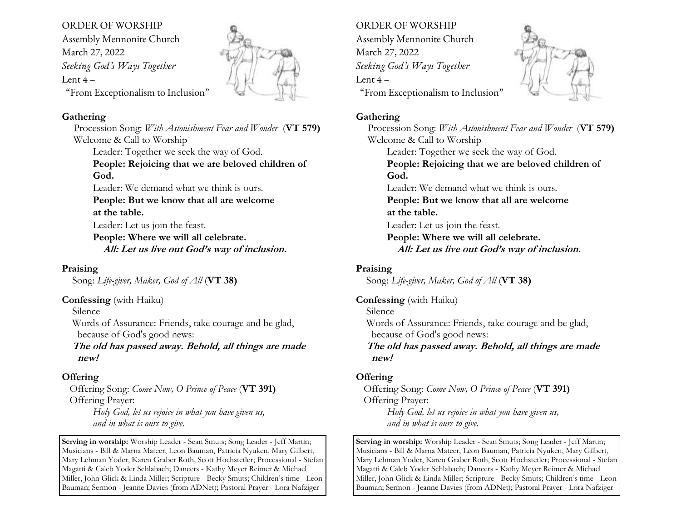# ORDER OF WORSHIP

Assembly Mennonite Church March 27, 2022 *Seeking God's Ways Together* Lent  $4-$ "From Exceptionalism to Inclusion"



#### **Gathering**

Procession Song: *With Astonishment Fear and Wonder* (**VT 579)** Welcome & Call to Worship Leader: Together we seek the way of God. **People: Rejoicing that we are beloved children of God.**  Leader: We demand what we think is ours. **People: But we know that all are welcome at the table.**  Leader: Let us join the feast. **People: Where we will all celebrate. All: Let us live out God's way of inclusion.** 

## **Praising**

Song: *Life-giver, Maker, God of All* (**VT 38)**

#### **Confessing** (with Haiku)

Silence

 Words of Assurance: Friends, take courage and be glad, because of God's good news:

 **The old has passed away. Behold, all things are made new!**

## **Offering**

 Offering Song: *Come Now, O Prince of Peace* (**VT 391)** Offering Prayer:

*Holy God, let us rejoice in what you have given us, and in what is ours to give.*

**Serving in worship:** Worship Leader - Sean Smuts; Song Leader - Jeff Martin; Musicians - Bill & Marna Mateer, Leon Bauman, Patricia Nyuken, Mary Gilbert, Mary Lehman Yoder, Karen Graber Roth, Scott Hochstetler; Processional - Stefan Magatti & Caleb Yoder Schlabach; Dancers - Kathy Meyer Reimer & Michael Miller, John Glick & Linda Miller; Scripture - Becky Smuts; Children's time - Leon Bauman; Sermon - Jeanne Davies (from ADNet); Pastoral Prayer - Lora Nafziger

ORDER OF WORSHIP Assembly Mennonite Church March 27, 2022 *Seeking God's Ways Together* Lent  $4-$ "From Exceptionalism to Inclusion"



## **Gathering**

Procession Song: *With Astonishment Fear and Wonder* (**VT 579)** Welcome & Call to Worship Leader: Together we seek the way of God. **People: Rejoicing that we are beloved children of God.**  Leader: We demand what we think is ours. **People: But we know that all are welcome at the table.**  Leader: Let us join the feast. **People: Where we will all celebrate. All: Let us live out God's way of inclusion.** 

## **Praising**

Song: *Life-giver, Maker, God of All* (**VT 38)**

## **Confessing** (with Haiku)

Silence

 Words of Assurance: Friends, take courage and be glad, because of God's good news:

 **The old has passed away. Behold, all things are made new!**

## **Offering**

 Offering Song: *Come Now, O Prince of Peace* (**VT 391)** Offering Prayer: *Holy God, let us rejoice in what you have given us, and in what is ours to give.*

**Serving in worship:** Worship Leader - Sean Smuts; Song Leader - Jeff Martin; Musicians - Bill & Marna Mateer, Leon Bauman, Patricia Nyuken, Mary Gilbert, Mary Lehman Yoder, Karen Graber Roth, Scott Hochstetler; Processional - Stefan Magatti & Caleb Yoder Schlabach; Dancers - Kathy Meyer Reimer & Michael Miller, John Glick & Linda Miller; Scripture - Becky Smuts; Children's time - Leon Bauman; Sermon - Jeanne Davies (from ADNet); Pastoral Prayer - Lora Nafziger